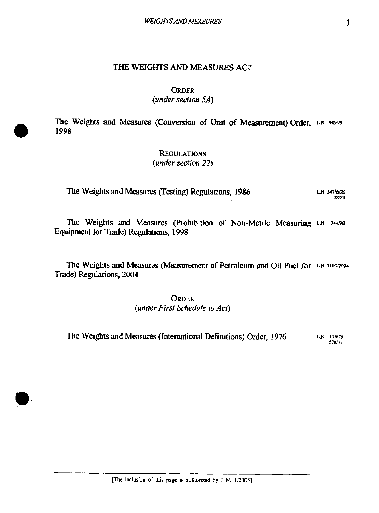# **ORDER**

# *(under section 5A)*

The Weights and Measures (Conversion of Unit of Measurement) Order, L.N. 34B/98 **1998** 

> **REGULATIONS**  *(under section 22)*

**The Weights and Measures (Testing) Regulations, 1986** *L.H. 147'n86* L.N. 147'D/86

The Weights and Measures (Prohibition of Non-Metric Measuring L.N. 34A/98 **Eguipment for Trade) Regulations, 1998** 

The Weights and Measures (Measurement of Petroleum and Oil Fuel for L.N. 1100/2004 **Trade) Regulations, 2004** 

> **ORDER**  *(under Firsl Zchedule to Act)*

**The Weights and Measures (International Definitions) Order, 1976 L.N. 176/76**   $57B/T$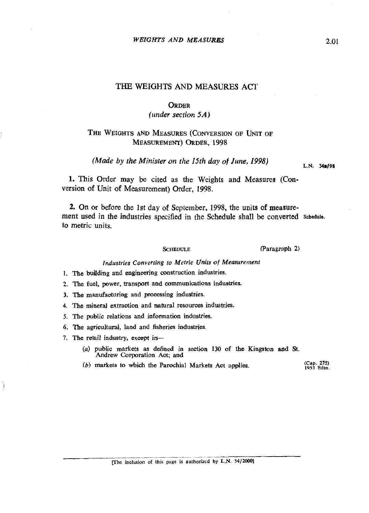### *WEIGHTS AND MEASUaBS*

# THE WEIGHTS AND MEASURES ACT

### **ORDER**

*(under section* 5A)

# THE WEIGHTS AND MEASURES (CONVERSION OF UNIT OF MEASUREMENT) ORDER, 1998

*(Made by the Minister on the 15th day of June, 1998)* L.N. **34B/98** 

1. This Order may be cited as the Weights and Measures (Conversion of Unit of Measurement) Order, 1998.

**2.** On or before the 1st day of September, 1998, the units **of** measurement used in the industries specified in the Schedule shall be converted **Schedule.**  to metric units.

**SCHEDULE** (Paragraph 2)

# *Industries Converting to Metric Urtu'ts* **of** *Measurement*

- 1. The **building** and engineering construction induskies.
- 2. The fuel, power, transport and communications industries.
- 3. The manufacturing and processing industries.
- 4. The mineral extraction and natural resources industries.
- 5. The public relations and information industries.
- 6. The agricultural, land and fisheries industries.
- 7. The retail industry, except in-
	- **(a) public** markets as defined in section **130** of the Kingston **ad** St. Andrew Corporation Aot; **and**
	- $(b)$  markets to which the Parochial Markets Act applies. **1953 Edtn.**

.- -- - - - - **[The inclusion of this page is authorized by L.N. 54/20001**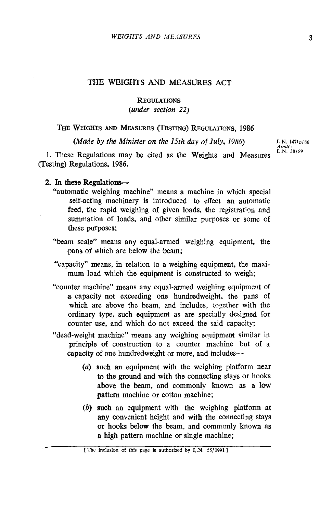# **REGULATIONS**  *(under section* **22)**

THE WEIGHTS AND MEASURES (TESTING) REGULATIONS, 1986

*(Made by the Minister on the 15th day of July, 1986)* L.N.  $147v_{D}/86$ 

1. These Regulations may be cited as the Weights and Measures (Testing) Regulations, **1986.** 

*Amdt* :<br>**L**.N. 38/89

# 2. In these Regulations-

- "automatic weighing machine" means a machine in which special self-acting machinery is introduced to effect an automatic feed, the rapid weighing of given loads, the registration and summation of loads, and other similar purposes or some of these purposes;
- "beam scale" means any equal-armed weighing equipment. the pans of which are below the beam;
- "capacity" means, in relation to a weighing equipment, the maximum load which the equipment is constructed to weigh;
- "counter machine" means any equal-armed weighing equipment of **a** capacity not exceeding one hundredweight, the pans of which are above the beam, and includes, together with the ordinary type, such equipment as are specially designed for counter use, and which do not exceed the said capacity;
- "dead-weight machine" means any weighing equipment similar in principle of construction to a counter machine but of a capacity **of** one hundredweight or more, and includes- -
	- (a) such an equipment with the weighing platform near to the ground and with the connecting stays or hooks above the beam, and commonly known as a low pattern machine or cotton machine;
	- *(b)* such an equipment with the weighing platform at any convenient height and with the connecting stays or hooks below the beam, and oommonly known as a high pattern machine or single machine: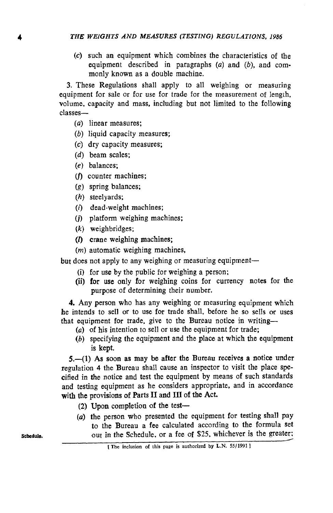**(c)** such an equipment which combines the characteristics of the equipment described in paragraphs **(a)** and (b), and commonly known as a double machine.

**3.** These Regulations shall apply to all weighing or measuring equipment for sale or for use for trade for the measurement of length, volume, capacity and mass, including but not limited to the following classes-

- **(a)** linear measures;
- (b) liquid capacity measures;
- **(c)** dry capacity measures;
- (d) beam scales:
- *(e)* balances;
- (f) counter machines;
- (g) spring balances;
- *(h)* steelyards;
- **(13** dead-weight machines;
- **(j)** platform weighing machines;
- (k) weighbridges;
- $(D)$  crane weighing machines;
- *(m)* automatic weighing machines,

but does not apply to any weighing or measuring equipment-

- (i) for use by the public for weighing a person;
- (ii) for use only for weighing coins for currency notes for the purpose of determining their number.

4. Any person who has any weighing or measuring equipment which he intends to sell or to use for trade shall, before he so sells or uses that equipment for trade, give to the Bureau notice in writing-

- (a) of his intention to sell or use the equipment for trade;
- *(b)* specifying the equipment and the place at which the equipment is kept.

5.-(1) As soon as may be after the Bureau receives a notice under regulation 4 the Bureau shall cause an inspector to visit the place specified in the notice and test the equipment by means of such standards and testing equipment as he considers appropriate, and in accordance with the provisions of Parts **I1** and **111** of the Act.

- **(2)** Upon completion of the test-
- **(a)** the person who presented the equipment for testing shall pay to the Bureau a fee calculated according to the formula set (a) the person who presented the equipment for testing shall pay<br>to the Bureau a fee calculated according to the formula set<br>out in the Schedule, or a fee of \$25, whichever is the greater:<br>(The inclusion of this page is au

[The inclusion of this page is authorized by L.N. **55/1991 1**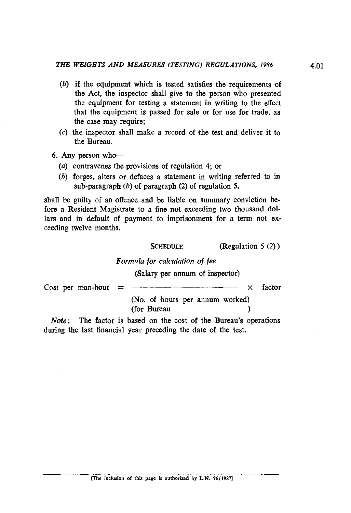- *(b)* if the equipment which is tested satisfies the requirenents of the Act, the inspector shall give to the person who presented the equipment for testing a statement in writing to the effect that the equipment is passed for sale or for use for trade, as the case may require:
- (c) the inspector shall make a record of the test and deliver it to the Bureau.
- 6. Any person who-
	- (a) contravenes the provisions of regulation 4; or
	- *(b)* forges, alters or defaces a statement in writing referred to in sub-paragraph *(b)* of paragraph **(2)** of regulation **5.**

shall be guilty of an offence and be liable on summary conviction before **a** Resident Magistrate to a fine not exceeding two thousand dollars and in default of payment to imprisonment for a term not exceeding twelve months.

**SCHEDULE** (Regulation 5 (2) )

Formula for calculation of fee

(Salary per annum of inspector)

SCHEDULE (Regulation 5 (2))<br>
Formula for calculation of fee<br>
(Salary per annum of inspector)<br>
Cost per man-hour =  $\frac{\sqrt{N_0}}{N_0}$  (No. of hours per annum worked) (No. of hours per annum worked) (for Bureau )

Note: The factor is based on the cost of the Bureau's operations during the last financial year preceding the date of the test.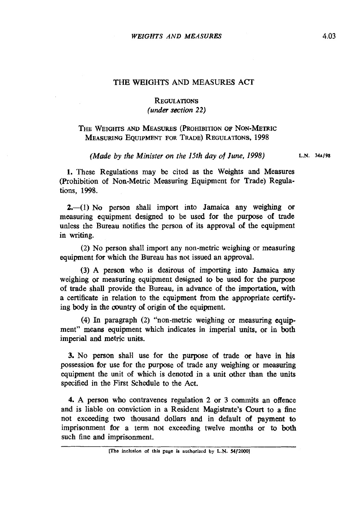# **REGULATIONS** *(under section 22)*

# THE WEIGHTS AND MEASURES (PROHIBITION OF NON-METRIC MEASURING EQUIPMENT FOR TRADE) REGULATIONS, **1998**

*(Made by the Minister on the 15th day of June, 1998)* L.N. 34A/98

1. These Regulations may be cited as the Weights and Measures (Prohibition of Non-Metric Measuring Equipment for Trade) Regulations, 1998.

 $2,-(1)$  No person shall import into Jamaica any weighing or measuring equipment designed to be used for Ihe purpose of trade unless the Bureau notifies the person of its approval of the equipment in writing.

(2) No person shall import any non-metric weighing or measuring equipment for which the Bureau has not issued an approval.

(3) A person who is desirous of importing into Jamaica any weighing or measuring equipment designed to be used for the purpose of trade shall provide the Bureau, in advance of the importation, with a certificate in relation to the equipment from the appropriate centifying body in the country of origin of the equipment.

(4) In paragraph (2) "non-metric weighing or measuring equipment" means equipment which indicates in imperial units, or in both imperial and metric units.

3. No person shall use for the purpose of trade or have in his possession for use for the purpose of trade any weighing or measuring equipment the unit of which is denoted in a unit other than the units specified in the First Schedule to the Aot.

4. A person who contravenes regulation 2 or 3 commits an offence and is liable on conviction in a Resident Magistrate's Court to a fine not exceeding two thousand dollars and in default of **payment** to imprisonment for a term not exceeding twelve months or to both such fine and imprisonment.

**<sup>[</sup>The inclusion of this page is authorized by L.N. 54/20001**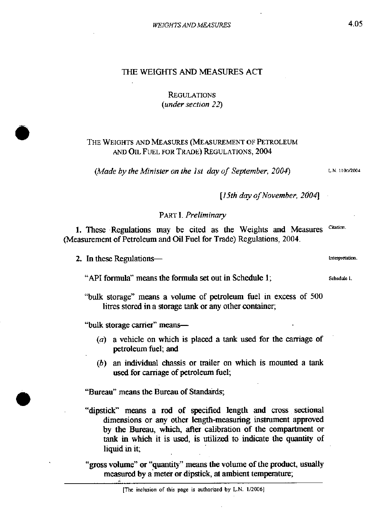# **REGULATIONS** *(under section* 22)

# THE WEIGHTS AND MEASURES (MEASUREMENT OF PETROLEUM AND OIL FUEL FOR TRADE) REGULATIONS, 2004

*(Made by the Minister on the 1st day of September, 2004)* L.N. 1106/2004

*[15th day of November, 2004]* 

# PART I. *Preliminary*

Citation. 1. These Regulations may be cited as the Weights and Measures (Measurement of Petroleum and Oil Fuel for Trade) Regulations, 2004.

2. In these Regulatioe **~n~ti~.** 

**"API** formula" means the formula set out in Schedule 1; **smedule <sup>I</sup>**

"bulk storage" means a volume of petroleum fuel in excess of 500 litres stored in a storage tank or any other container;

"bulk storage carrier" means-

- *(a)* a vehicle on which is placed a tank used for the carriage of petroleum fuel; and
- (b) an individual chassis or trailer on which is mounted a tank used for carriage of petroleum fuel;

"Bureau" means the Bureau of Standards;

"dipstick" means a rod of specified length and cross sectional dimensions or any other length-measuring instrument approved by the Bureau, which, after calibration of the compartment or **tank** in which it is **used,** is utilized to indicate the quantity of liquid in it;

"gross volume" or "quantity" means the volume of the product, usually measured by a meter or dipstick, at ambient temperature;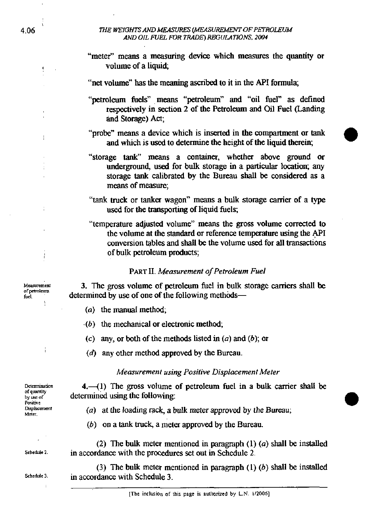### *THE WEIGHTS AND MEASURES (MEASUREMENT OF PETROLEUM AND OIL FUEL* **R3R** *TRADE)* **Wf** *NATIONS.* **<sup>2004</sup>**

"meter" means a measuring device which measures the quantity or volume of a liquid;

"net volume" has the meaning ascribed to it in the **API** formula;

"petroleum fuels" means "petroleum" and "oil fuel" **as** defined respectively in section 2 of the Petroleum and Oil Fuel (Landing and Storage) Act;

"probe" means a device which is inserted in the compartment or tank and which is used to determine the height of the liquid therein;

"storage **tank"** means a container, whether abwe ground or underground, used for bulk storage in a particular location; any storage tank calibrated by the Bureau shall be considered as a means of measure;

"tank truck or tanker wagon" means a bulk storage canier of a type used for the transporting of liquid fuels;

"temperature adjusted volume" means the gross volume corrected to the volume at the standard or reference temperature using the API conversion tables and shall be the volume used for all transactions of bulk petroleum products;

# PART **II.** Measurement of Petroleum Fuel

3. The gross volume of petroleum fuel in bulk storage carriers shall be fuel **determined by use of one of the following methods—** 

- (a) the **manual** method,
- .(b) the mechanical or electronic method;
- (c) any, or both of the methods listed in  $(a)$  and  $(b)$ ; or
- (d) any other method approved by the Bureau.

# Measurement using Positive Displacement Meter

Determination  $4.-(1)$  The gross volume of petroleum fuel in a bulk carrier shall be of quantity determined using the following: determined using the following:

- **~~t".** (a) at the loading rack, a bulk meter approved by the Bureau;
- (b) on a tank truck, a meter approved by the **Bureau.**

(2) The bulk meter mentioned in paragraph (1) **(a)** shall be installed **~ch~duk 1.** in accordance with the procedures set out in Schedule 2.

(3) The bulk meter mentioned in paragraph  $(1)$   $(b)$  shall be installed **schedule 3.** in accordance with Schedule 3.

**Mcaammmt**  of petroleum

t

Determination<br>of quantity **Pai6vc**  Displacement<br>Meter.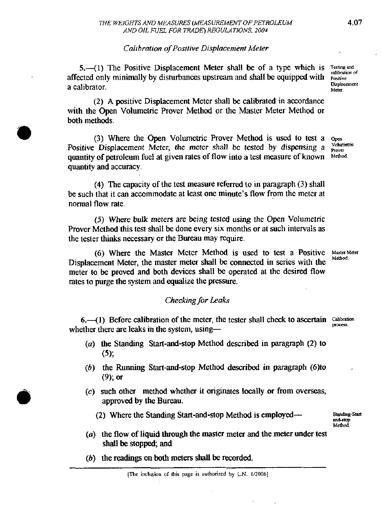# *Calihralion of Posilive Displacemenl Meter*

**5.**—(1) The Positive Displacement Meter shall be of a type which is *zesting and* displacement affected only minimally by disturbances upstream and shall be equipped with **Positive**<br>Consideration a calibrator. **ckpllummr** 

(2) A positive Displacement Meter shall be calibrated in accordance with the Open Volurnctric Prover Method or thc Master Meter Method or both methods.

(3) Where the Open Volumetric Prover Method is used to test a  $O_{\text{pen}}$ Positive Displacement Meter, the mctcr shall be tested by dispensing a  $\frac{V \text{chumel}}{P \text{tover}}$ <br>quantity of petroleum fuel at given rates of flow into a test measure of known. Method, quantity of petroleum fuel at given rates of flow into a test measure of known quantity and accuracy.

(4) The capacity of the test measure referred to in paragraph  $(3)$  shall be such that it can accommodate at least one minute's flow from the meter at normal flow rate.

(5) Where buk meters are being tested using the Open Volumelric Prover Method this test shall be done every six months or at such intervals as the tester thinks necessary or the Bureau may require.

(6) Where the Master Mctcr Method is used to test a Positive Master Meter Displacement Meter, the master meter shall be connected in series with the meter to be proved and both devices shall be operated at thc desired flow rates to purge the system and equalize the pressure.

# *Checking for Leaks*

 $6.$ —(1) Before calibration of the meter, the tester shall check to ascertain  $\frac{\text{Calibration}}{\text{process}}$  whether there are leaks in the system, using—

- *(a)* the Standing Start-and-stop Method described in paragraph (2) to **(5);**
- *(b)* the Running Start-and-stop Method described in paragraph *(6)*to **(9);** or
- **(c)** such other method whether it originates locally or from overseas, approved by the Bureau.
	- (2) Where the Standing Start-and-stop Method is employed- Standing-Start

**mMOp M&d** 

- *(a)* the flow of liquid through the master meter and the meter under **test**  shall be stopped; and
- (b) the readings on both meters shall be recorded.

**Man.**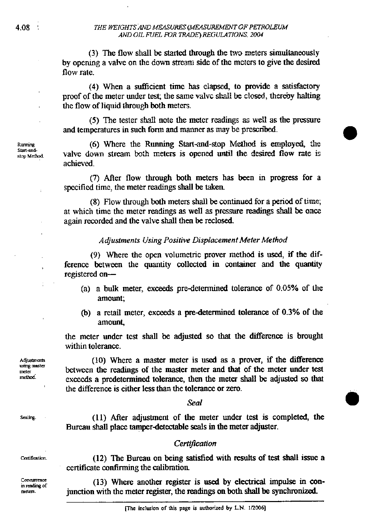(3) The flow shall be started through the two meters simultaneously by opemg a valve on the down **stream** side of the mcters to give the desired flow rate.

(4) When a sufficient time has elapsed, to provide a satisfactory proof of the meter under test; the same valve shall be closed, thereby halting the flow of liquid through both meters.

(5) The tester shall note the meter readings as well as the pressure and temperatures in such form and manner as may be prescribed.

**0** 

(6) Where the Running Start-and-stop Method is employed, the valve down stream both meters is opened until the desired flow rate is achieved.

(7) AAer flow thmugh both meters has been **in progress** for a specified time, the meter **readings** shall be taken.

(8) Flow through both meters shall be continued for a period of time; at which time the meter **readings as** well **as** pressure readings **+all 5e oacz**  again recorded and the valve shall then be reclosed.

# *Adjustments Using Positive Displacement Meter Method*

(9) Where the open volumetric prover **method** is **us&** if the difference between the quantity collected in container and the quantity registered on-

- (a) a bulk meter, exceeds predetermined tolerance of **0.05%** of lhe amount;
- (b) a retail meter, exceeds a predetermined tolerance of **0.3%** of the amount,

the meter under test shall be adjusted so **that** the difference is brought within tolerance.

**(10)** Where a master meter is used as a prover, if the difference between the readings of the master meter and that of the meter under test exceeds a predetermined tolerance, then the meter shall be **adpsted** so that the difference is either less than the tolerance or zero.

*Seal* 

**(11)** After adjustment of the meter under test is completed, the Bureau shall place tamperdetectable seals in the meter adjuster.

# Certification

(12) The Bureau on being satisfied with results of test shall issue a certificate confirming the calibration

(13) Where another register is used by electrical impulse **in** conjunction with the meter register, the readings on both shall be synchronized.

Sealing.

Adjustments using master meter method.

Concurrence in reading of meters.

Ruming Start-andstop Method.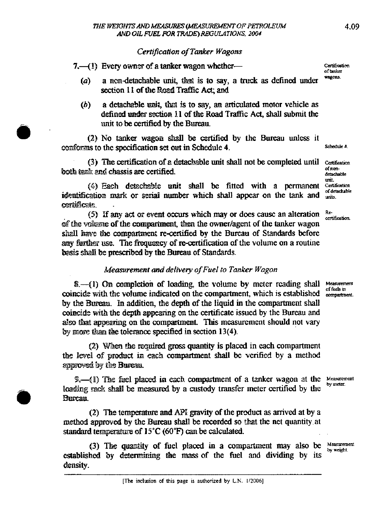# *CertiJcah'on of T&r Wagons*

**7.** (1) Every ownst of a tanker wagon whether-<br>

- *(a)* a nondetachable **unit,** that is to **say,** a **truck** as defined under section 11 of the Road Traffic Act; and
- *(b)* a detachable **mit,** & is to say, **an** articulated motor vehicle **as**  defined under section 11 of the Road Traffic Act, shall submit the unit to be certified by the Bureau.

*(2)* No tanker **wagon** &dl be certified by the Bureau **unless** it conforms to the specification set out in Schedule 4. *Schedule 4.* Schedule **4.** 

(3) The certification of a detachable unit shall not be completed until certification both tank and chassis are certified.

(4) Each detachable unit shall be fitted with a permanent (4) Each detechable unit shall be fitted with a permanent Certification identification mark or serial number which shall appear on the tank and **detachable** ceminficate.

(5) If any act or event occurs which may or does cause an alteration Re-**QIT** he **volume** of the **mmpartmenf** then the ownerlagent of the tanker wagon shall have the compartment re-certified by the Bureau of Standards before any further use. The frequency of re-certification of the volume on a routine **his** shall be **prescribed** by the Bureau of Standards.

# *Memrement and deliveiy oJFuel to Tanker Wagon*

**8.**-41) On completion of loading, the volume by meter reading shall Measurement neide in Take in the volume indicated on the compartment, which is established compartment. coincide with the volume indicated on the compartment, which is established by the mu. **b adaddition,** the depth of the liquid in the compartment shall coincide with the depth appearing on the certificate issued by the Bureau and also that appearing on the compartment. This measurement should not vary by more than the tolerance specified in section 13(4).

(2) When the required gross quantity is placed in each compartment the level of product in each compartment shall be verified by a method approved by the Bureau.

**D<sub>s</sub>—(1)** The fuel placed in each compartment of a tanker wagon at the **Measureme** loading rack shall be measured by a custody transfer meter certified by the **B**ureter. Bureau.

(2) The tempahm and **APE** gravity of the prduct **as** arrived at by a method approved by the Bureau shall be recorded so that the net quantity at standard temperature of 15°C (60°F) can be calculated.

(3) The quantity of fuel placed in a compartment may also be *Measurement* established by determining the mass of the fuel and dividing by its **by weight**. density.

detachable<br>unit.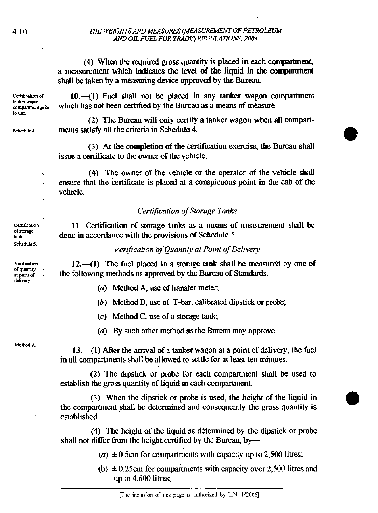# THE WEIGHTS AND MEASURES (MEASUREMENT OF PETROLEUM **ANI>01L** *mlbl bVR* **TR4UK)** *WGlJlATlONS.* **2W4**

*(4)* When the **required gross** quantity is placed in each wmpamnent, a measurement which indicates the level of the liquid in the compartment shall be taken by a measuring device approved by the Bureau

Certification of tanker wason compartment prior to use

Schedule 4

10.<sup>-</sup>(1) Fuel shall not be placed in any tanker wagon compartment which has not been certified by the Bureau as a means of measure.

(2) The Bureau will only certify a tanker wagon when all compartments satisfy all the criteria in Schedule *4.* 

(3) At the completion of the certification exercise, the Bureau shall issue a certificate to the owner of the vehicle.

*(4)* The owner of the vehicle **or** the operator of the vehicle shall ensure that the certificate is placed at a conspicuous point in the cab of the vehicle.

# *Certification of Storage Tanks*

*11.* Certification of storage tanks **as** a means of measurement shall be done in accordance with the provisions of Schedule *5.* 

# *Verijication of Quantily at Point of Delivery*

12.4) The fuel placed in a storage tank shall be measured by one of the following methods as approved by the Bureau of Standards.

- *(a)* Method *A, use* of transfer meter,
- (b) Method B, use of T-bar, calibrated dipstick or probe;
- *(c)* Method C, *use* of a storage tank;
- (d) By such other method as the Bureau may approve.

Method A

 $13.-(1)$  After the arrival of a tanker wagon at a point of delivery, the fuel in all compartments shall be allowed to settle for at least ten minutes.

*(2)* The dipstick or probe for each compartment shall be used to establish the gross quantity of liquid in each compartment.

(3) When the dipstick or probe is used, the height of the liquid in the compartment shall be determined and consequently the gross quantity is established.

*(4)* The height of the liquid as determined by the dipstick or probe shall not differ from the height certified by the Bureau, by-

 $(a) \pm 0.5$ cm for compartments with capacity up to 2,500 litres;

 $(b) \pm 0.25$ cm for compartments with capacity over 2,500 litres and up to *4,600* litres;

tanks. Schedule 5. Venfication

of quantity at point of delivery.

Certification of storage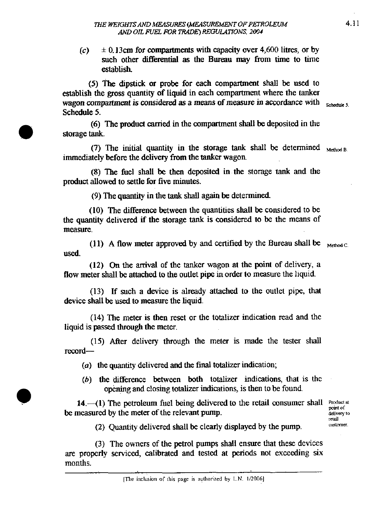$(c)$   $\pm$  0.13cm for compartments with capacity over 4,600 litres, or by such other differential **as** the Bureau may from time to time establish

(5) The dipstick **or** probe for each compartment shall be used to establish the gross quantity of liquid in each compartment where the tanker wagon compartment is considered as a means of measure in accordance with  $_{\rm{SchefulelS}}$ Schedule 5.

(6) The product carried in the compartment shall be deposited in the storage tank.

(7) The initial quantity in the storage tank shall be determined  $_{\text{Method B}}$ immediately before the delivery from the tanker wagon

(8) The fuel shall be then deposited in the storage tank and the product allowed to settle for five minutes.

(9) The quantity in the tank shall again be determined

(10) The difference between the quantities shall be considered to be the quantity delivered if the storage tank is considered to be the means of measure.

(11) A flow meter approved by and certified by the Bureau shall be  $_{\text{Method C}}$ used.

(12) On the **arrival** of the tanker wagon at the point of delivery, a flow meter shall be attached to the outlet pipe in order to measure the liquid.

(13) If such a device is already attached to the outlet pipe, that device shall be used to measure the liquid.

(14) The meter is then reset or the totalizer indication read and the liquid is passed through the meter.

(15) After delivery through the meter is made the tester shall record-

(a) the quantity delivered and the final totalizer indication;

(b) the difference between both totalizer indications, *that* is the opening and closing totalizer indications, is then to be found.

14. $-(1)$  The petroleum fuel being delivered to the retail consumer shall **product at point** of be measured by the meter of the relevant pump.

delivery to<br>retail<br>customer.

(2) **Quanaty** delivered shall be clearly displayed by the pump. **E~CT** 

(3) The owners of the petrol pumps shall ensure that these devices are properly serviced, calibrated and tested at periods not exceeding six months.

**<sup>[</sup>The** inclusion **of this page is autha6zed by** L.N. **112006]**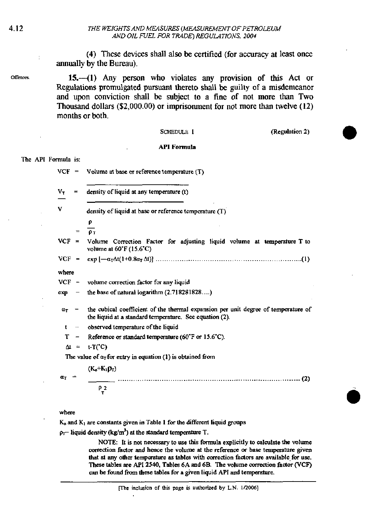(4) These devices shall also be certified (for accuracy at least once annually by the Bureau).

15.—(1) Any person who violates any provision of this Act or Regulations promulgated pursuant thereto shall be guilty of a misdemeanor and upon conviction shall be subject to a fine of not more than Two Thousand dollars (\$2,000.00) or imprisonment for not more than twelve (12) months or both.

### **SCHEDULE 1**

(Regulation 2)

### **API** Formula

#### The API Formula is:

| VCF                       | $\qquad \qquad =$        | Volume at base or reference temperature (T)                                                                                                   |
|---------------------------|--------------------------|-----------------------------------------------------------------------------------------------------------------------------------------------|
| $V_T$                     | $=$                      | density of liquid at any temperature (t)                                                                                                      |
| v                         |                          | density of liquid at base or reference temperature (T)                                                                                        |
|                           |                          | ρ                                                                                                                                             |
|                           | $=$                      | O <sub>T</sub>                                                                                                                                |
| $VCF =$                   |                          | Volume Correction Factor for adjusting liquid volume at temperature T to<br>volume at $60^\circ$ F (15.6 $^\circ$ C)                          |
|                           |                          |                                                                                                                                               |
| where                     |                          |                                                                                                                                               |
| $VCF -$                   |                          | volume correction factor for any liquid                                                                                                       |
| ехр                       | $\overline{\phantom{m}}$ | the base of natural logarithm (2.718281828)                                                                                                   |
| $a_T$                     |                          | the cubical coefficient of the thermal expansion per unit degree of temperature of<br>the liquid at a standard temperature. See equation (2). |
| t                         | $\rightarrow$            | observed temperature of the liquid                                                                                                            |
| т                         | $\overline{\phantom{0}}$ | Reference or standard temperature (60°F or 15.6°C).                                                                                           |
|                           | $\Delta t =$             | $t-T(C)$                                                                                                                                      |
|                           |                          | The value of $\alpha_T$ for entry in equation (1) is obtained from                                                                            |
| $\mathbf{a}_{\mathrm{T}}$ | ⇒                        | $(K_{o}+K_{1}D_{T})$                                                                                                                          |
|                           |                          | P <sub>2</sub><br>τ                                                                                                                           |

#### where

 $K_0$  and  $K_1$  are constants given in Table 1 for the different liquid groups

 $\rho_T$  liquid density (kg/m<sup>3</sup>) at the standard temperature T.

NOTE: It is not necessary to use this formula explicitly to calculate the volume correction factor and hence the volume at the reference or base temperature given that at any other temperature as tables with correction factors are available for use. These tables are API 2540, Tables 6A and 6B. The volume correction factor (VCF) can be found from these tables for a given liquid API and temperature.

Offences.

 $\,$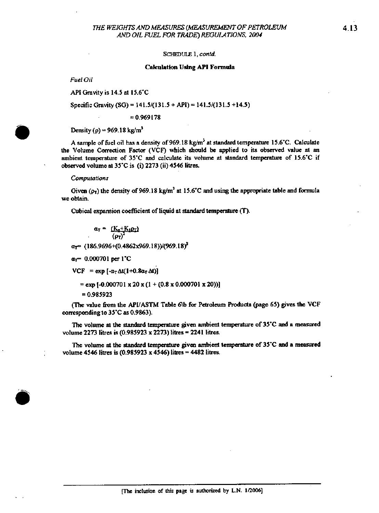SCHEDULE 1, contd.

#### **Calculation Using API Formula**

Fuel Oil

API Gravity is 14.5 at 15.6°C

Specific Gravity (SG) = 141.5/(131.5 + API) = 141.5/(131.5 +14.5)

 $= 0.969178$ 

Density ( $\rho$ ) = 969.18 kg/m<sup>3</sup>

A sample of fuel oil has a density of 969.18 kg/m<sup>3</sup> at standard temperature 15.6°C. Calculate the Volume Correction Factor (VCF) which should be applied to its observed value at an ambient temperature of 35°C and calculate its volume at standard temperature of 15.6°C if observed volume at 35°C is (i) 2273 (ii) 4546 litres.

#### Computations

Given ( $\rho_T$ ) the density of 969.18 kg/m<sup>3</sup> at 15.6°C and using the appropriate table and formula we obtain.

Cubical expansion coefficient of liquid at standard temperature (T).

$$
\alpha_T = \frac{(K_0 + K_1 \rho_T)}{(\rho_T)^2}
$$

 $\alpha_T$  (186.9696+(0.4862x969.18))/(969.18)<sup>2</sup>

 $a_1$  = 0.000701 per 1°C

VCF = exp  $[-\alpha_T \Delta t(1+0.8\alpha_T \Delta t)]$ 

 $=$  exp [-0.000701 x 20 x (1 + (0.8 x 0.000701 x 20))]

 $= 0.985923$ 

(The value from the API/ASTM Table 6\b for Petroleum Products (page 65) gives the VCF corresponding to 35°C as 0.9863).

The volume at the standard temperature given ambient temperature of 35°C and a measured volume 2273 litres is (0.985923 x 2273) litres = 2241 litres.

The volume at the standard temperature given ambient temperature of 35°C and a measured volume 4546 litres is  $(0.985923 \times 4546)$  litres = 4482 litres.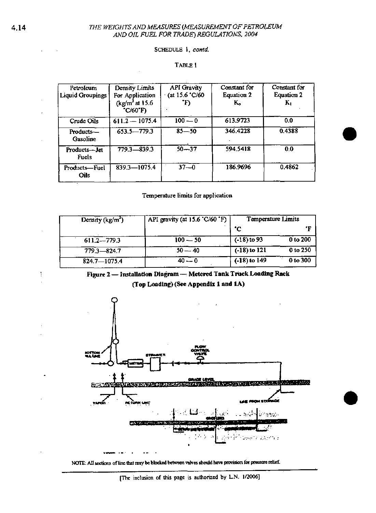# THE WEIGHTS AND MEASURES (MEASUREMENT OF PETROLEUM AND OIL FUEL FOR TRADE) REGULATIONS, 2004

### SCHEDULE 1, contd.

# TABLE 1

| Petroleum<br>Liquid Groupings | Density Limits<br>For Application<br>$\frac{\text{kg}}{\text{m}^3}$ at 15.6<br>*C/60*F) | <b>API</b> Gravity<br>(at 15.6 °C/60 | Constant for<br><b>Equation 2</b><br>K. | Constant for<br><b>Equation 2</b><br>$K_{1}$ |
|-------------------------------|-----------------------------------------------------------------------------------------|--------------------------------------|-----------------------------------------|----------------------------------------------|
| Crude Oils                    | $611.2 - 1075.4$                                                                        | $100 - 0$                            | 613.9723                                | 0.0                                          |
| Products-<br>Gasoline         | $653.5 - 779.3$                                                                         | $85 - 50$                            | 346.4228                                | 0.4388                                       |
| Products---Jet<br>Fuels       | 779.3-839.3                                                                             | $50 - 37$                            | 594.5418                                | 0.0                                          |
| Products-Fuel<br><b>Crils</b> | 839 3-1075.4                                                                            | $37 - 0$                             | 186.9696                                | 0.4862                                       |

# Temperature limits for application

| Density (kg/m <sup>-</sup> ) | API gravity (at 15.6 °C/60 °F) | Temperature Limits |          |
|------------------------------|--------------------------------|--------------------|----------|
|                              |                                | .С                 | • г      |
| $611.2 - 779.3$              | $100 - 50$                     | $(-18)$ to 93      | 0 to 200 |
| $779.3 - 824.7$              | $50 - 40$                      | $(-18)$ to $121$   | 0 to 250 |
| 824.7-1075.4                 | $40 - 0$                       | $(-18)$ to 149     | 0 to 300 |



(Top Loading) (See Appendix 1 and 1A)



NOTE: All sections of line that may be blocked between valves should have provision for pressure relief.

t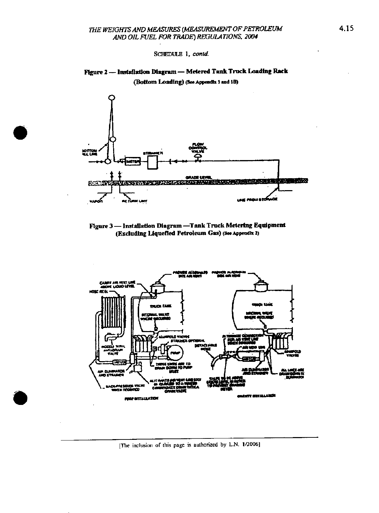SCHEDULE 1, contd.









[The inclusion of this page is authorized by L.N. 1/2006]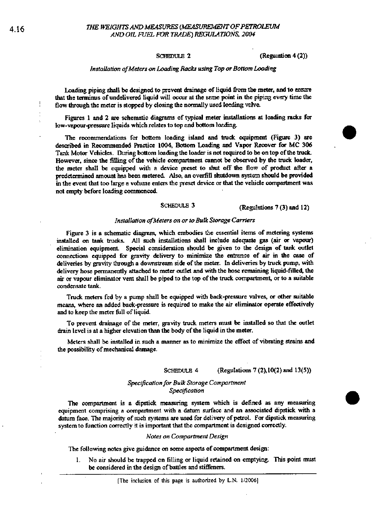#### **SCHEDULE 2**

(Regulation 4(2))

#### Installation of Meters on Loading Racks using Top or Bottom Loading

Loading piping shall be designed to prevent drainage of liquid from the meter, and to assure that the terminus of undelivered liquid will occur at the seme point in the piping every time the flow through the meter is stopped by closing the normally used loeding valve.

Figures 1 and 2 are schematic diagrams of typical meter installations at loading racks for low-vapour-pressure liquids which relates to top and bottom loading.

The recommendations for bottom loading island and truck equipment (Figure 3) are described in Recommended Practice 1004, Bottom Loading and Vapor Recover for MC 306 Tank Motor Vehicles. During bottom loading the loader is not required to be on top of the truck. However, since the filling of the vehicle compartment cannot be observed by the truck loader, the meter shall be equipped with a device preset to shut off the flow of product after a predetermined amount has been metered. Also, an overfill shutdown system should be provided in the event that too large a volume enters the preset device or that the vehicle compartment was not empty before loading commenced.

#### SCHEDULE 3 (Regulations 7 (3) and 12)

#### Installation of Meters on or to Bulk Storage Carriers

Figure 3 is a schematic diagram, which embodies the essential items of metering systems installed on tank trucks. All such installations shall include adequate gas (air or vapour) elimination equipment. Special consideration should be given to the design of tank outlet connections equipped for gravity delivery to minimize the entrance of air in the case of deliveries by gravity through a downstream side of the meter. In deliveries by truck pump, with delivery hose permanently attached to meter outlet and with the hose remaining liquid-filled, the air or vapour climinator vent shall be piped to the top of the truck compartment, or to a suitable condensate tank.

Truck meters fed by a pump shall be equipped with back-pressure valves, or other suitable means, where an added back-pressure is required to make the air eliminator operate effectively and to keep the meter full of liquid.

To prevent drainage of the meter, gravity truck meters must be installed so that the outlet drain level is at a higher elevation than the body of the liquid in the meter.

Meters shall be installed in such a manner as to minimize the effect of vibrating strains and the possibility of mechanical damage.

#### SCHEDULE 4 (Regulations 7 (2), 10(2) and 13(5))

#### Specification for Bulk Storage Compartment Specification

The compartment is a dipstick measuring system which is defined as any measuring equipment comprising a compartment with a datum surface and an associated dipstick with a datum face. The majority of such systems are used for delivery of petrol. For dipstick measuring system to function correctly it is important that the compartment is designed correctly.

#### Notes on Compartment Design

The following notes give guidance on some aspects of compartment design:

No air should be trapped on filling or liquid retained on emptying. This point must  $\mathbf{1}$ be considered in the design of battles and stiffeners.

 $\frac{1}{2}$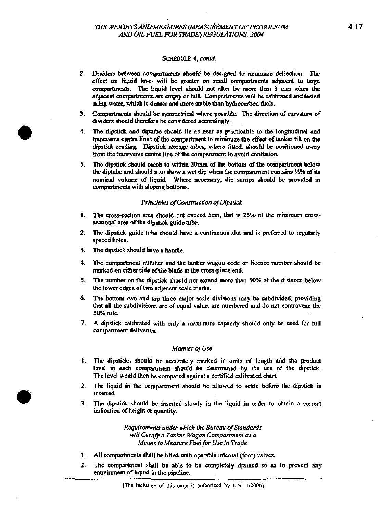#### SCHEDULE 4. contd.

- 2. Dividers between compartments should be designed to minimize deflection. The effect on liquid level will be greater on small compartments adjacent to large compertments. The liquid level should not alter by more than 3 mm when the adjacent compartments are empty or full. Compartments will be calibrated and tested using water, which is denser and more stable than hydrocarbon fuels.
- 3. Compartments should be symmetrical where possible. The direction of curvature of dividers should therefore be considered accordingly.
- 4. The dipstick and diptube should lie as near as practicable to the longitudinal and transverse centre lines of the compartment to minimize the effect of tanker tilt on the dipstick reading. Dipstick storage tubes, where fitted, should be positioned away from the transverse centre line of the compartment to avoid confusion.
- 5. The dipstick should reach to within 20mm of the bottom of the compartment below the diptube and should also show a wet dip when the compartment contains 14% of its nominal volume of liquid. Where necessary, dip sumps should be provided in compartments with sloping bottoms.

### Principles of Construction of Dipstick

- The cross-section area should not exceed 5cm, that is 25% of the minimum cross- $\mathbf{L}$ sectional area of the dipstick guide tube.
- The dipstick guide tube should have a continuous slot and is preferred to regularly  $2.$ spaced holes.
- $3<sub>1</sub>$ The dipstick should have a handle.
- 4. The compartment number and the tanker wagon code or licence number should be marked on either side of the blade at the cross-piece end.
- 5. The number on the dipstick should not extend more than 50% of the distance below the lower edges of two adjacent scale marks.
- The bottom two and top three major scale divisions may be subdivided, providing 6. that all the subdivisions are of equal value, are numbered and do not contravene the 50% rule.
- 7. A dipstick calibrated with only a maximum capacity should only be used for full compartment deliveries.

#### Manner of Use

- 1. The dipsticks should be accurately marked in units of length and the product level in each compartment should be determined by the use of the dipstick. The level would then be compared against a certified calibrated chart.
- 2. The liquid in the compartment should be allowed to settle before the dipstick is inserted.
- The dipstick should be inserted slowly in the liquid in order to obtain a correct  $3<sub>1</sub>$ indication of height or quantity.

Requirements under which the Bureau of Standards will Certify a Tanker Wagon Compartment as a Means to Measure Fuel for Use in Trade

- All compartments shall be fitted with operable internal (foot) valves. 1.
- $2.$ The compartment shall be able to be completely drained so as to prevent any entrainment of liquid in the pipeline.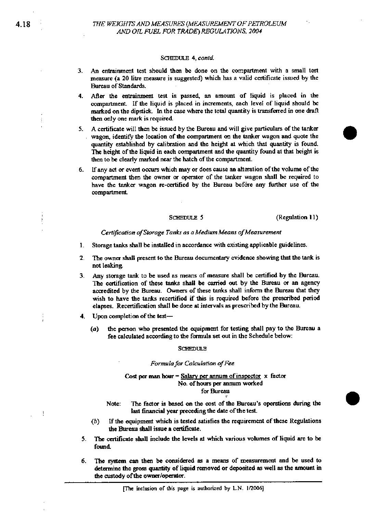#### SCHEDULE 4. contd.

- **3.** An entrainment test should then be done on the compartment wilh a small test measure (a 20 litre measure is suggested) which has a valid certificate issued by the Bureau of Standards.
- **4. Ma** the **eatrainmmt tea** is passed, an amam of liquid is placed in **the**  compartment. If the liquid is placed in increments, each level of liquid should be marked on the dipstick. In the case where the total quantity is transferred in one draft then only one **mark** is required.
- 5. A certificate will then be issued by the Bureau and will give particulars of the tanker **wagon,** identify **the** location afthe compartment m the **tanker** wagon and **quote** the **auantitv** atablished **bv** calibration and **the** heirht at which lhat **want&** is found. The height of the liquid in each compartment and the quantity found at that height is then to be clearly **marked** near **the** hatch of the companmem
- *6.* Uany an or evem anvs which may or does **mse** an aheration of **the** volume of the compartment then the **owner** or operator of the **tanker** wagon shall be required to have the **tanker** wagon re-catified by the Bureau **bef6re any** further use of the compartmcrd

**SCHEDULE 5** (Regulation 11)

#### Certification of Storage Tanks as a Medium Means of Measurement

- 1. Storage tanks shall be installed in accordance with existing applicable guidelines.
- 2. The owner shall present to the Bureau documentary evidence showing that the tank is not leaking.
- **3.** ~ny storage **tank** to **be** used **as** means of m-e shall be certified by the Bureau. The certification of these tanks shall be carried out by the Bureau or an agency accredited by the Bureau. Owners of these tanks shall inform the Bureau that they wish to have the tanks recertified if this is required before the prescribed period elapses. Recertification shall be done at intervals as prescribed by the Bureau.
- **4.** Upon completion of **the** test-
	- **(a)** the pawn who **pesmlcd** the qupmcnt for testing shall pay to the Bureau a fee calculated according to the formula set out in the Schedule below:

#### SCHEDULE

#### *Fmulo for* Calculation *ofFee*

#### **Cost per man hour =**  $S$ **alary per annum of inspector**  $x$  **factor No.** ofhans per **snmun** waked for Bureau

- Note: The factor is based on the cost of the Bureau's operations during the last financial year preceding the date of the test.
- (b) If the equipment which is tested satisfies the requirement of these Regulations the **Bureau** shall isme **s** certificsfe.
- 5. The certificate shall include the levels at which various volumes of liquid are to be found
- *6.* **TlE s.ysystrm can** then be foa~idaed **as s** means of **mawmeot** and be used to **dctaminc** the gross quantity of Liquid **moved** or deposited **ss** well **ss** the amount in the custody of the owner/operator.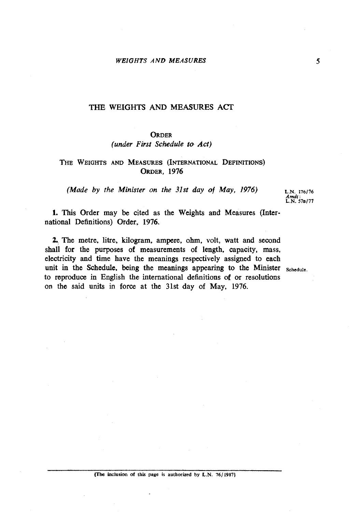# **ORDER**

# *(under First Schedule to Act)*

# THE WEIGHTS AND MEASURES (INTERNATIONAL DEFINITIONS) **ORDER, 1976**

*(Made by the Minister on the 31st day of May, 1976)* **L.N. 176/76** 

**Amd(** : **L.N. 57~177** 

1. This Order may be cited as the Weights and Measures (International Definitions) Order, 1976.

2. The metre, litre, kilogram, ampere, ahm, volt, watt and second shall for the purposes of measurements of length, capacity, mass, electricity and time have the meanings respectively assigned to each unit in the Schedule, being the meanings appearing to the Minister **schedule.**  to reproduce in English the international definitions **d** or resolutions on the said units in force at the 31st day of May, 1976.